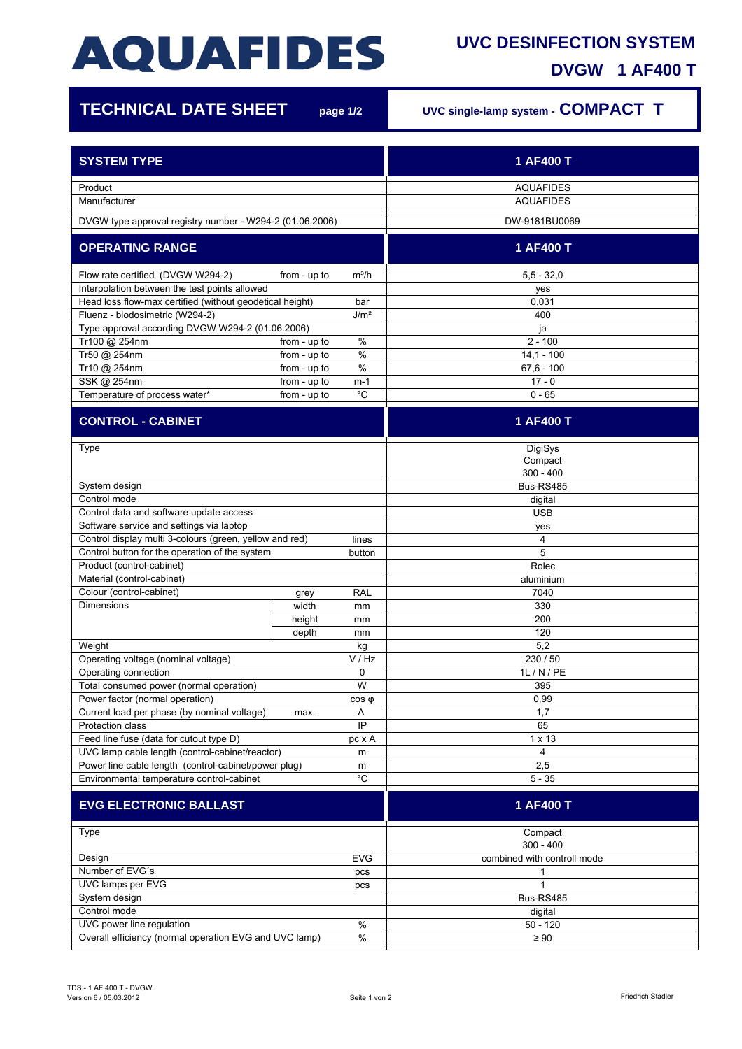## **AQUAFIDES**

## **UVC DESINFECTION SYSTEM**

**DVGW 1 AF400 T**

| <b>TECHNICAL DATE SHEET</b>                                                                             |              | page 1/2    | UVC single-lamp system - COMPACT T |
|---------------------------------------------------------------------------------------------------------|--------------|-------------|------------------------------------|
| <b>SYSTEM TYPE</b>                                                                                      |              |             | 1 AF400 T                          |
| Product                                                                                                 |              |             | <b>AQUAFIDES</b>                   |
| Manufacturer                                                                                            |              |             | <b>AQUAFIDES</b>                   |
| DVGW type approval registry number - W294-2 (01.06.2006)                                                |              |             | DW-9181BU0069                      |
| <b>OPERATING RANGE</b>                                                                                  |              |             | 1 AF400 T                          |
| Flow rate certified (DVGW W294-2)<br>from - up to<br>$m^3/h$                                            |              |             | $5.5 - 32.0$                       |
| Interpolation between the test points allowed                                                           |              |             | yes                                |
| Head loss flow-max certified (without geodetical height)<br>bar                                         |              |             | 0,031<br>400                       |
| Fluenz - biodosimetric (W294-2)<br>J/m <sup>2</sup><br>Type approval according DVGW W294-2 (01.06.2006) |              |             | ja                                 |
| Tr100 @ 254nm                                                                                           | from - up to | $\%$        | $2 - 100$                          |
| Tr50 @ 254nm                                                                                            | from - up to | $\%$        | $14,1 - 100$                       |
| Tr10 @ 254nm                                                                                            | from - up to | $\%$        | $67.6 - 100$                       |
| SSK @ 254nm                                                                                             | from - up to | $m-1$       | $17 - 0$                           |
| Temperature of process water*                                                                           | from - up to | $^{\circ}C$ | $0 - 65$                           |
| <b>CONTROL - CABINET</b>                                                                                |              |             | 1 AF400 T                          |
| Type                                                                                                    |              |             | DigiSys                            |
|                                                                                                         |              |             | Compact                            |
|                                                                                                         |              |             | $300 - 400$                        |
| System design                                                                                           |              |             | Bus-RS485                          |
| Control mode                                                                                            |              |             | digital                            |
| Control data and software update access                                                                 |              |             | <b>USB</b>                         |
| Software service and settings via laptop                                                                |              |             | yes                                |
| Control display multi 3-colours (green, yellow and red)<br>lines                                        |              |             | 4                                  |
| Control button for the operation of the system                                                          |              | button      | 5                                  |
| Product (control-cabinet)                                                                               |              |             | Rolec                              |
| Material (control-cabinet)                                                                              |              |             | aluminium                          |
| Colour (control-cabinet)                                                                                | grey         | <b>RAL</b>  | 7040                               |
| <b>Dimensions</b>                                                                                       | width        | mm          | 330                                |
|                                                                                                         | height       | mm          | 200                                |
|                                                                                                         | depth        | mm          | 120                                |
| Weight                                                                                                  |              | kg          | 5,2                                |
| Operating voltage (nominal voltage)                                                                     |              | V / Hz      | 230/50                             |
| Operating connection<br>0                                                                               |              |             | 1L / N / PE                        |
| Total consumed power (normal operation)<br>W                                                            |              |             | 395                                |
| Power factor (normal operation)                                                                         |              | $cos \phi$  | 0,99                               |
| Current load per phase (by nominal voltage)<br>Protection class                                         | max.         | Α<br>IP     | 1,7<br>65                          |
|                                                                                                         |              |             | $1 \times 13$                      |
| Feed line fuse (data for cutout type D)<br>UVC lamp cable length (control-cabinet/reactor)              |              | pc x A<br>m | 4                                  |
| Power line cable length (control-cabinet/power plug)                                                    |              |             | 2,5                                |
| m<br>$^{\circ}$ C<br>Environmental temperature control-cabinet                                          |              |             | $5 - 35$                           |
| <b>EVG ELECTRONIC BALLAST</b>                                                                           |              |             | 1 AF400 T                          |
|                                                                                                         |              |             |                                    |
| Type                                                                                                    |              |             | Compact<br>$300 - 400$             |
| Design<br><b>EVG</b>                                                                                    |              |             | combined with controll mode        |
| Number of EVG's<br>pcs                                                                                  |              |             | 1                                  |
| UVC lamps per EVG<br>pcs                                                                                |              |             | $\mathbf{1}$                       |
| System design                                                                                           |              |             | Bus-RS485                          |
| Control mode                                                                                            |              |             | digital                            |
| UVC power line regulation<br>$\%$                                                                       |              |             | $50 - 120$                         |
| Overall efficiency (normal operation EVG and UVC lamp)<br>%                                             |              |             | $\geq 90$                          |
|                                                                                                         |              |             |                                    |